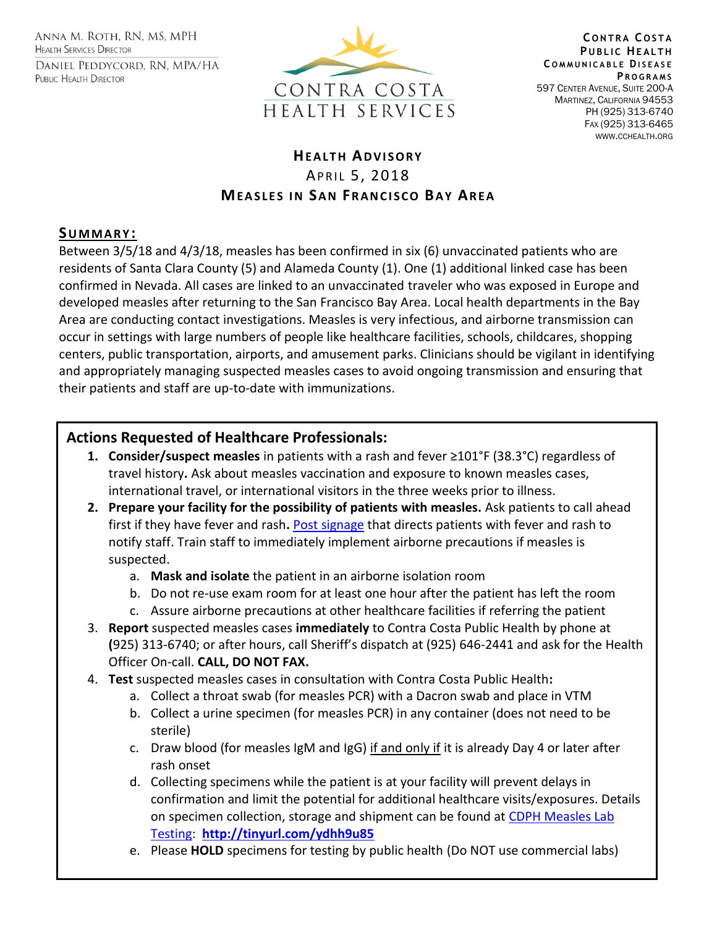ANNA M. ROTH, RN, MS, MPH **HEALTH SERVICES DIRECTOR** DANIEL PEDDYCORD, RN, MPA/HA PUBLIC HEALTH DIRECTOR



**C O N T R A C O S T A PUBLIC HEALTH C O M M U N I C A B L E DI S E A S E P R O G R A M S** 597 CENTER AVENUE, SUITE 200-A MARTINEZ, CALIFORNIA 94553 PH (925) 313-6740 FAX (925) 313-6465 WWW.CCHEALTH.ORG

# **HEALTH ADVISORY** APRIL 5, 2018 **MEASLES IN SAN FRANCISCO BAY AREA**

### **SU M M A R Y :**

Between 3/5/18 and 4/3/18, measles has been confirmed in six (6) unvaccinated patients who are residents of Santa Clara County (5) and Alameda County (1). One (1) additional linked case has been confirmed in Nevada. All cases are linked to an unvaccinated traveler who was exposed in Europe and developed measles after returning to the San Francisco Bay Area. Local health departments in the Bay Area are conducting contact investigations. Measles is very infectious, and airborne transmission can occur in settings with large numbers of people like healthcare facilities, schools, childcares, shopping centers, public transportation, airports, and amusement parks. Clinicians should be vigilant in identifying and appropriately managing suspected measles cases to avoid ongoing transmission and ensuring that their patients and staff are up-to-date with immunizations.

## **Actions Requested of Healthcare Professionals:**

- **1. Consider/suspect measles** in patients with a rash and fever ≥101°F (38.3°C) regardless of travel history**.** Ask about measles vaccination and exposure to known measles cases, international travel, or international visitors in the three weeks prior to illness.
- **2. Prepare your facility for the possibility of patients with measles.** Ask patients to call ahead first if they have fever and rash**.** [Post signage](http://eziz.org/assets/docs/IMM-908.pdf) that directs patients with fever and rash to notify staff. Train staff to immediately implement airborne precautions if measles is suspected.
	- a. **Mask and isolate** the patient in an airborne isolation room
	- b. Do not re-use exam room for at least one hour after the patient has left the room
	- c. Assure airborne precautions at other healthcare facilities if referring the patient
- 3. **Report** suspected measles cases **immediately** to Contra Costa Public Health by phone at **(**925) 313-6740; or after hours, call Sheriff's dispatch at (925) 646-2441 and ask for the Health Officer On-call. **CALL, DO NOT FAX.**
- 4. **Test** suspected measles cases in consultation with Contra Costa Public Health**:** 
	- a. Collect a throat swab (for measles PCR) with a Dacron swab and place in VTM
	- b. Collect a urine specimen (for measles PCR) in any container (does not need to be sterile)
	- c. Draw blood (for measles IgM and IgG) if and only if it is already Day 4 or later after rash onset
	- d. Collecting specimens while the patient is at your facility will prevent delays in confirmation and limit the potential for additional healthcare visits/exposures. Details on specimen collection, storage and shipment can be found at CDPH Measles Lab [Testing:](file:///C:/Users/erpan/Desktop/CDPH%20Measles%20Lab%20Testing) **<http://tinyurl.com/ydhh9u85>**
	- e. Please **HOLD** specimens for testing by public health (Do NOT use commercial labs)